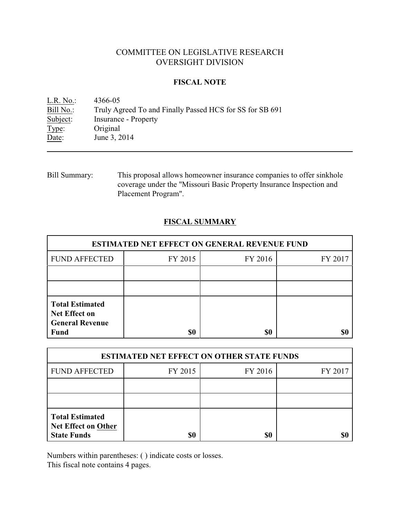# COMMITTEE ON LEGISLATIVE RESEARCH OVERSIGHT DIVISION

### **FISCAL NOTE**

| $L.R. No.$ : | 4366-05                                                  |
|--------------|----------------------------------------------------------|
| Bill No.:    | Truly Agreed To and Finally Passed HCS for SS for SB 691 |
| Subject:     | <b>Insurance - Property</b>                              |
| Type:        | Original                                                 |
| Date:        | June 3, 2014                                             |
|              |                                                          |

Bill Summary: This proposal allows homeowner insurance companies to offer sinkhole coverage under the "Missouri Basic Property Insurance Inspection and Placement Program".

## **FISCAL SUMMARY**

| <b>ESTIMATED NET EFFECT ON GENERAL REVENUE FUND</b>                                     |         |         |         |  |
|-----------------------------------------------------------------------------------------|---------|---------|---------|--|
| <b>FUND AFFECTED</b>                                                                    | FY 2015 | FY 2016 | FY 2017 |  |
|                                                                                         |         |         |         |  |
|                                                                                         |         |         |         |  |
| <b>Total Estimated</b><br><b>Net Effect on</b><br><b>General Revenue</b><br><b>Fund</b> | \$0     | \$0     |         |  |

| <b>ESTIMATED NET EFFECT ON OTHER STATE FUNDS</b>                           |         |         |         |  |
|----------------------------------------------------------------------------|---------|---------|---------|--|
| <b>FUND AFFECTED</b>                                                       | FY 2015 | FY 2016 | FY 2017 |  |
|                                                                            |         |         |         |  |
|                                                                            |         |         |         |  |
| <b>Total Estimated</b><br><b>Net Effect on Other</b><br><b>State Funds</b> | \$0     | \$0     |         |  |

Numbers within parentheses: ( ) indicate costs or losses.

This fiscal note contains 4 pages.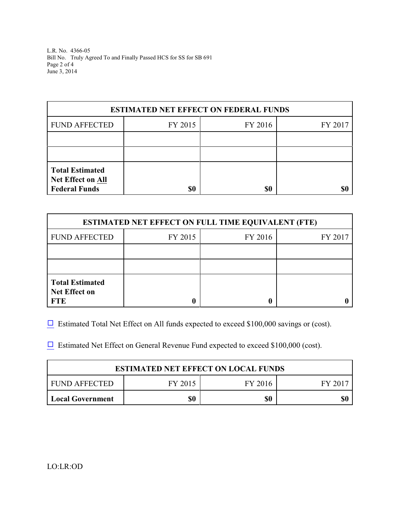L.R. No. 4366-05 Bill No. Truly Agreed To and Finally Passed HCS for SS for SB 691 Page 2 of 4 June 3, 2014

| <b>ESTIMATED NET EFFECT ON FEDERAL FUNDS</b>                               |         |         |         |  |
|----------------------------------------------------------------------------|---------|---------|---------|--|
| <b>FUND AFFECTED</b>                                                       | FY 2015 | FY 2016 | FY 2017 |  |
|                                                                            |         |         |         |  |
|                                                                            |         |         |         |  |
| <b>Total Estimated</b><br><b>Net Effect on All</b><br><b>Federal Funds</b> | \$0     | \$0     |         |  |

| <b>ESTIMATED NET EFFECT ON FULL TIME EQUIVALENT (FTE)</b>    |         |                    |  |  |
|--------------------------------------------------------------|---------|--------------------|--|--|
| <b>FUND AFFECTED</b>                                         | FY 2015 | FY 2016<br>FY 2017 |  |  |
|                                                              |         |                    |  |  |
|                                                              |         |                    |  |  |
| <b>Total Estimated</b><br><b>Net Effect on</b><br><b>FTE</b> |         |                    |  |  |

 $\Box$  Estimated Total Net Effect on All funds expected to exceed \$100,000 savings or (cost).

 $\Box$  Estimated Net Effect on General Revenue Fund expected to exceed \$100,000 (cost).

| <b>ESTIMATED NET EFFECT ON LOCAL FUNDS</b> |         |         |          |  |
|--------------------------------------------|---------|---------|----------|--|
| FUND AFFECTED                              | FY 2015 | FY 2016 | - FY 207 |  |
| <b>Local Government</b>                    | \$0     | \$0     | \$0      |  |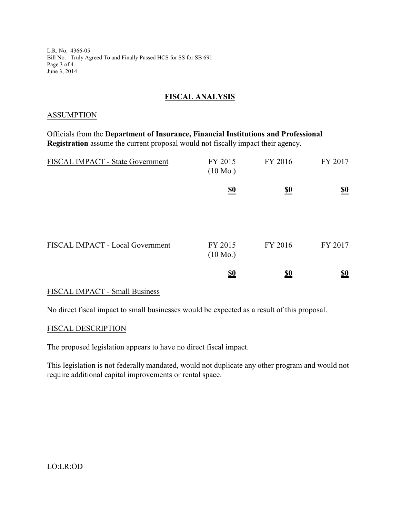L.R. No. 4366-05 Bill No. Truly Agreed To and Finally Passed HCS for SS for SB 691 Page 3 of 4 June 3, 2014

## **FISCAL ANALYSIS**

#### ASSUMPTION

Officials from the **Department of Insurance, Financial Institutions and Professional Registration** assume the current proposal would not fiscally impact their agency.

| FISCAL IMPACT - State Government | FY 2015<br>$(10 \text{ Mo.})$ | FY 2016                       | FY 2017                       |
|----------------------------------|-------------------------------|-------------------------------|-------------------------------|
|                                  | $\underline{\underline{\$0}}$ | $\underline{\underline{\$0}}$ | $\underline{\underline{\$0}}$ |
| FISCAL IMPACT - Local Government | FY 2015<br>$(10 \text{ Mo.})$ | FY 2016                       | FY 2017                       |
|                                  | <u>\$0</u>                    | <u>\$0</u>                    | $\underline{\underline{\$0}}$ |

### FISCAL IMPACT - Small Business

No direct fiscal impact to small businesses would be expected as a result of this proposal.

#### FISCAL DESCRIPTION

The proposed legislation appears to have no direct fiscal impact.

This legislation is not federally mandated, would not duplicate any other program and would not require additional capital improvements or rental space.